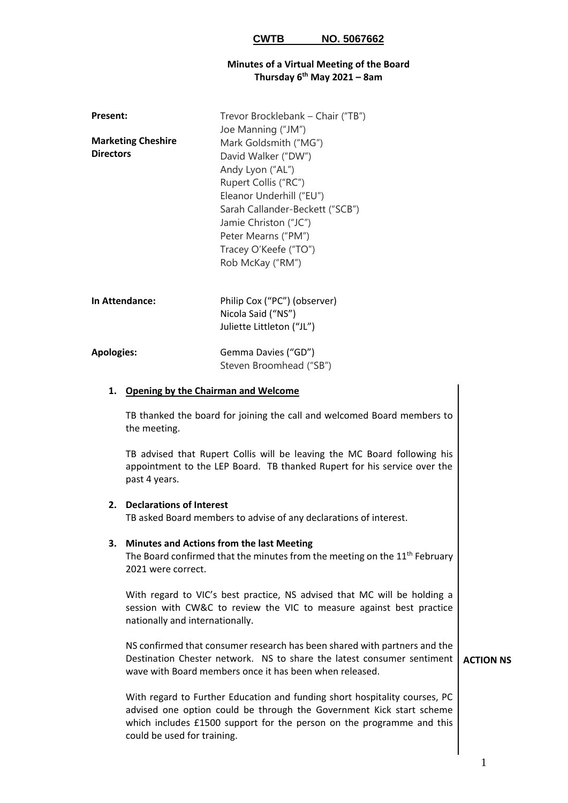### **Minutes of a Virtual Meeting of the Board Thursday 6 th May 2021 – 8am**

| Present:          |                                                                                                                                                                                                                                    | Trevor Brocklebank – Chair ("TB")<br>Joe Manning ("JM")                                                                                                                                                                                              |  |
|-------------------|------------------------------------------------------------------------------------------------------------------------------------------------------------------------------------------------------------------------------------|------------------------------------------------------------------------------------------------------------------------------------------------------------------------------------------------------------------------------------------------------|--|
| <b>Directors</b>  | <b>Marketing Cheshire</b>                                                                                                                                                                                                          | Mark Goldsmith ("MG")<br>David Walker ("DW")<br>Andy Lyon ("AL")<br>Rupert Collis ("RC")<br>Eleanor Underhill ("EU")<br>Sarah Callander-Beckett ("SCB")<br>Jamie Christon ("JC")<br>Peter Mearns ("PM")<br>Tracey O'Keefe ("TO")<br>Rob McKay ("RM") |  |
| In Attendance:    |                                                                                                                                                                                                                                    | Philip Cox ("PC") (observer)<br>Nicola Said ("NS")<br>Juliette Littleton ("JL")                                                                                                                                                                      |  |
| <b>Apologies:</b> |                                                                                                                                                                                                                                    | Gemma Davies ("GD")<br>Steven Broomhead ("SB")                                                                                                                                                                                                       |  |
|                   | 1. Opening by the Chairman and Welcome                                                                                                                                                                                             |                                                                                                                                                                                                                                                      |  |
|                   | TB thanked the board for joining the call and welcomed Board members to<br>the meeting.                                                                                                                                            |                                                                                                                                                                                                                                                      |  |
|                   | TB advised that Rupert Collis will be leaving the MC Board following his<br>appointment to the LEP Board. TB thanked Rupert for his service over the<br>past 4 years.                                                              |                                                                                                                                                                                                                                                      |  |
| 2.                | <b>Declarations of Interest</b>                                                                                                                                                                                                    | TB asked Board members to advise of any declarations of interest.                                                                                                                                                                                    |  |
|                   | 3. Minutes and Actions from the last Meeting<br>The Board confirmed that the minutes from the meeting on the 11 <sup>th</sup> February<br>2021 were correct.                                                                       |                                                                                                                                                                                                                                                      |  |
|                   | With regard to VIC's best practice, NS advised that MC will be holding a<br>session with CW&C to review the VIC to measure against best practice<br>nationally and internationally.                                                |                                                                                                                                                                                                                                                      |  |
|                   | NS confirmed that consumer research has been shared with partners and the<br>Destination Chester network. NS to share the latest consumer sentiment<br><b>ACTION NS</b><br>wave with Board members once it has been when released. |                                                                                                                                                                                                                                                      |  |
|                   | With regard to Further Education and funding short hospitality courses, PC<br>advised one option could be through the Government Kick start scheme<br>which includes £1500 support for the person on the programme and this        |                                                                                                                                                                                                                                                      |  |

could be used for training.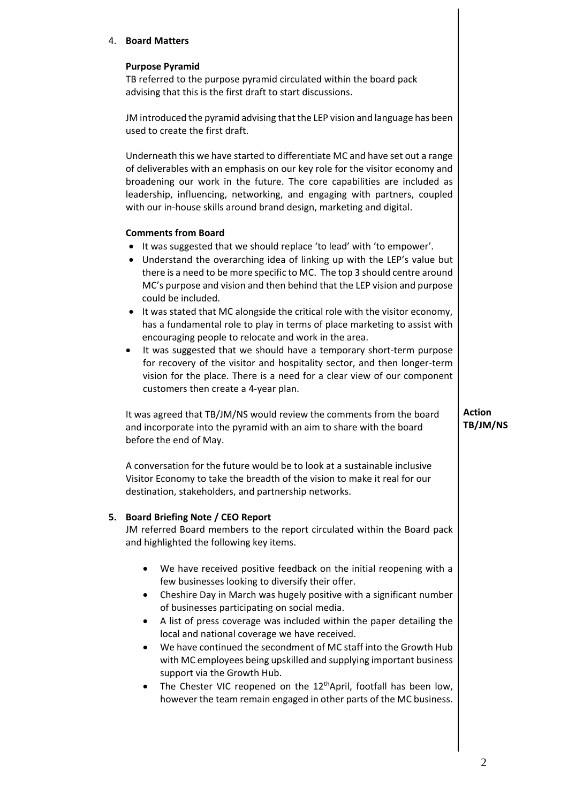### 4. **Board Matters**

### **Purpose Pyramid**

TB referred to the purpose pyramid circulated within the board pack advising that this is the first draft to start discussions.

JM introduced the pyramid advising that the LEP vision and language has been used to create the first draft.

Underneath this we have started to differentiate MC and have set out a range of deliverables with an emphasis on our key role for the visitor economy and broadening our work in the future. The core capabilities are included as leadership, influencing, networking, and engaging with partners, coupled with our in-house skills around brand design, marketing and digital.

#### **Comments from Board**

- It was suggested that we should replace 'to lead' with 'to empower'.
- Understand the overarching idea of linking up with the LEP's value but there is a need to be more specific to MC. The top 3 should centre around MC's purpose and vision and then behind that the LEP vision and purpose could be included.
- It was stated that MC alongside the critical role with the visitor economy, has a fundamental role to play in terms of place marketing to assist with encouraging people to relocate and work in the area.
- It was suggested that we should have a temporary short-term purpose for recovery of the visitor and hospitality sector, and then longer-term vision for the place. There is a need for a clear view of our component customers then create a 4-year plan.

It was agreed that TB/JM/NS would review the comments from the board and incorporate into the pyramid with an aim to share with the board before the end of May.

A conversation for the future would be to look at a sustainable inclusive Visitor Economy to take the breadth of the vision to make it real for our destination, stakeholders, and partnership networks.

## **5. Board Briefing Note / CEO Report**

JM referred Board members to the report circulated within the Board pack and highlighted the following key items.

- We have received positive feedback on the initial reopening with a few businesses looking to diversify their offer.
- Cheshire Day in March was hugely positive with a significant number of businesses participating on social media.
- A list of press coverage was included within the paper detailing the local and national coverage we have received.
- We have continued the secondment of MC staff into the Growth Hub with MC employees being upskilled and supplying important business support via the Growth Hub.
- The Chester VIC reopened on the 12<sup>th</sup>April, footfall has been low, however the team remain engaged in other parts of the MC business.

**Action TB/JM/NS**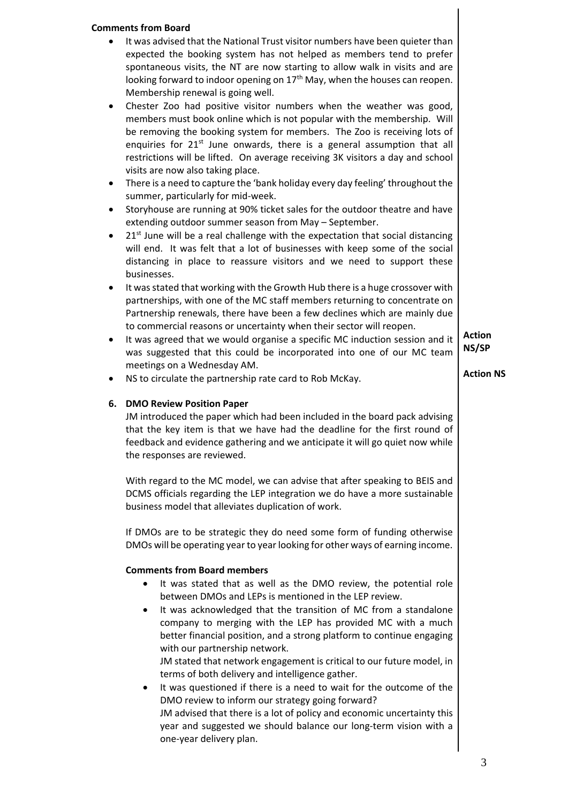# **Comments from Board** • It was advised that the National Trust visitor numbers have been quieter than expected the booking system has not helped as members tend to prefer spontaneous visits, the NT are now starting to allow walk in visits and are looking forward to indoor opening on  $17<sup>th</sup>$  May, when the houses can reopen. Membership renewal is going well. • Chester Zoo had positive visitor numbers when the weather was good, members must book online which is not popular with the membership. Will be removing the booking system for members. The Zoo is receiving lots of enquiries for  $21<sup>st</sup>$  June onwards, there is a general assumption that all restrictions will be lifted. On average receiving 3K visitors a day and school visits are now also taking place. • There is a need to capture the 'bank holiday every day feeling' throughout the summer, particularly for mid-week. • Storyhouse are running at 90% ticket sales for the outdoor theatre and have extending outdoor summer season from May – September.  $21<sup>st</sup>$  June will be a real challenge with the expectation that social distancing will end. It was felt that a lot of businesses with keep some of the social distancing in place to reassure visitors and we need to support these businesses. It was stated that working with the Growth Hub there is a huge crossover with partnerships, with one of the MC staff members returning to concentrate on Partnership renewals, there have been a few declines which are mainly due to commercial reasons or uncertainty when their sector will reopen. It was agreed that we would organise a specific MC induction session and it was suggested that this could be incorporated into one of our MC team meetings on a Wednesday AM. NS to circulate the partnership rate card to Rob McKay. **6. DMO Review Position Paper** JM introduced the paper which had been included in the board pack advising that the key item is that we have had the deadline for the first round of feedback and evidence gathering and we anticipate it will go quiet now while the responses are reviewed. With regard to the MC model, we can advise that after speaking to BEIS and DCMS officials regarding the LEP integration we do have a more sustainable business model that alleviates duplication of work. If DMOs are to be strategic they do need some form of funding otherwise DMOs will be operating year to year looking for other ways of earning income. **Comments from Board members** • It was stated that as well as the DMO review, the potential role between DMOs and LEPs is mentioned in the LEP review. It was acknowledged that the transition of MC from a standalone company to merging with the LEP has provided MC with a much better financial position, and a strong platform to continue engaging with our partnership network. JM stated that network engagement is critical to our future model, in terms of both delivery and intelligence gather. It was questioned if there is a need to wait for the outcome of the DMO review to inform our strategy going forward? JM advised that there is a lot of policy and economic uncertainty this year and suggested we should balance our long-term vision with a one-year delivery plan. **Action NS/SP Action NS**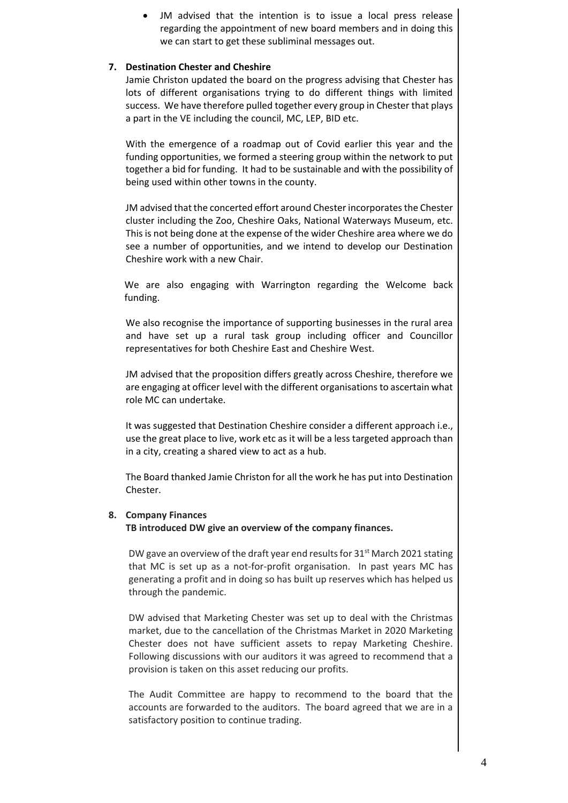JM advised that the intention is to issue a local press release regarding the appointment of new board members and in doing this we can start to get these subliminal messages out.

### **7. Destination Chester and Cheshire**

Jamie Christon updated the board on the progress advising that Chester has lots of different organisations trying to do different things with limited success. We have therefore pulled together every group in Chester that plays a part in the VE including the council, MC, LEP, BID etc.

With the emergence of a roadmap out of Covid earlier this year and the funding opportunities, we formed a steering group within the network to put together a bid for funding. It had to be sustainable and with the possibility of being used within other towns in the county.

JM advised that the concerted effort around Chester incorporates the Chester cluster including the Zoo, Cheshire Oaks, National Waterways Museum, etc. This is not being done at the expense of the wider Cheshire area where we do see a number of opportunities, and we intend to develop our Destination Cheshire work with a new Chair.

 We are also engaging with Warrington regarding the Welcome back funding.

We also recognise the importance of supporting businesses in the rural area and have set up a rural task group including officer and Councillor representatives for both Cheshire East and Cheshire West.

JM advised that the proposition differs greatly across Cheshire, therefore we are engaging at officer level with the different organisations to ascertain what role MC can undertake.

It was suggested that Destination Cheshire consider a different approach i.e., use the great place to live, work etc as it will be a less targeted approach than in a city, creating a shared view to act as a hub.

The Board thanked Jamie Christon for all the work he has put into Destination Chester.

#### **8. Company Finances**

**TB introduced DW give an overview of the company finances.**

DW gave an overview of the draft year end results for 31<sup>st</sup> March 2021 stating that MC is set up as a not-for-profit organisation. In past years MC has generating a profit and in doing so has built up reserves which has helped us through the pandemic.

DW advised that Marketing Chester was set up to deal with the Christmas market, due to the cancellation of the Christmas Market in 2020 Marketing Chester does not have sufficient assets to repay Marketing Cheshire. Following discussions with our auditors it was agreed to recommend that a provision is taken on this asset reducing our profits.

The Audit Committee are happy to recommend to the board that the accounts are forwarded to the auditors. The board agreed that we are in a satisfactory position to continue trading.